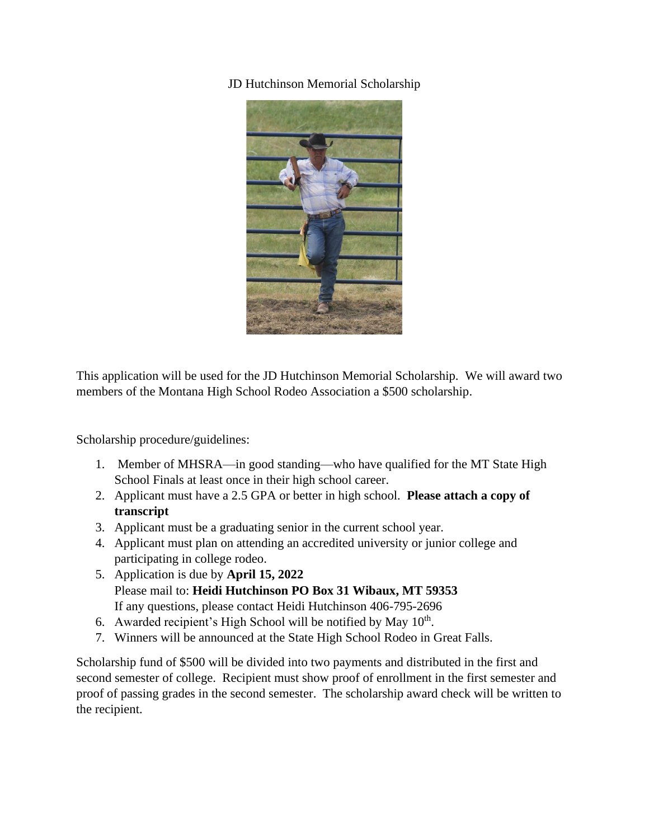JD Hutchinson Memorial Scholarship



This application will be used for the JD Hutchinson Memorial Scholarship. We will award two members of the Montana High School Rodeo Association a \$500 scholarship.

Scholarship procedure/guidelines:

- 1. Member of MHSRA—in good standing—who have qualified for the MT State High School Finals at least once in their high school career.
- 2. Applicant must have a 2.5 GPA or better in high school. **Please attach a copy of transcript**
- 3. Applicant must be a graduating senior in the current school year.
- 4. Applicant must plan on attending an accredited university or junior college and participating in college rodeo.
- 5. Application is due by **April 15, 2022** Please mail to: **Heidi Hutchinson PO Box 31 Wibaux, MT 59353** If any questions, please contact Heidi Hutchinson 406-795-2696
- 6. Awarded recipient's High School will be notified by May  $10<sup>th</sup>$ .
- 7. Winners will be announced at the State High School Rodeo in Great Falls.

Scholarship fund of \$500 will be divided into two payments and distributed in the first and second semester of college. Recipient must show proof of enrollment in the first semester and proof of passing grades in the second semester. The scholarship award check will be written to the recipient.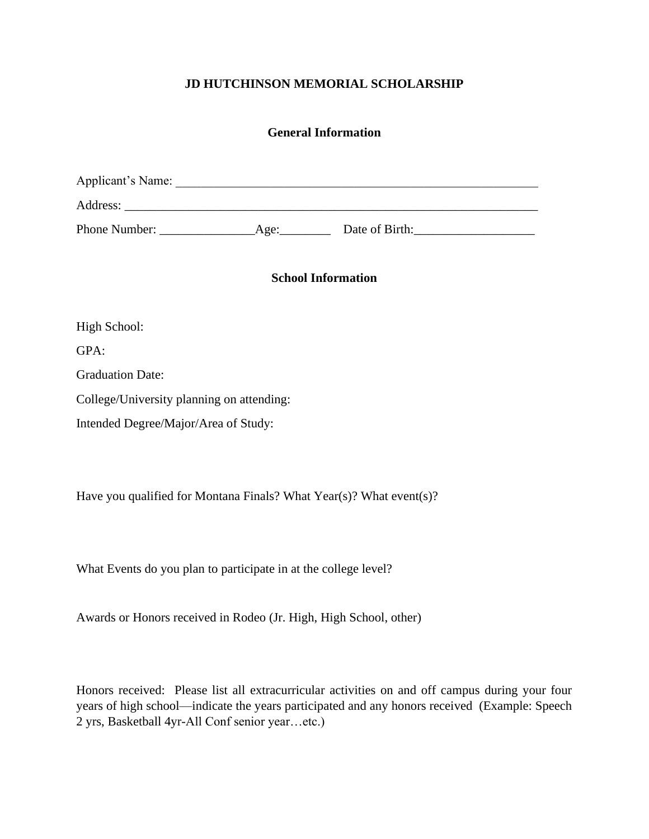# **JD HUTCHINSON MEMORIAL SCHOLARSHIP**

## **General Information**

| Applicant's Name: |      |                |
|-------------------|------|----------------|
| Address:          |      |                |
| Phone Number:     | Age: | Date of Birth: |

**School Information**

High School:

GPA:

Graduation Date:

College/University planning on attending:

Intended Degree/Major/Area of Study:

Have you qualified for Montana Finals? What Year(s)? What event(s)?

What Events do you plan to participate in at the college level?

Awards or Honors received in Rodeo (Jr. High, High School, other)

Honors received: Please list all extracurricular activities on and off campus during your four years of high school—indicate the years participated and any honors received (Example: Speech 2 yrs, Basketball 4yr-All Conf senior year…etc.)